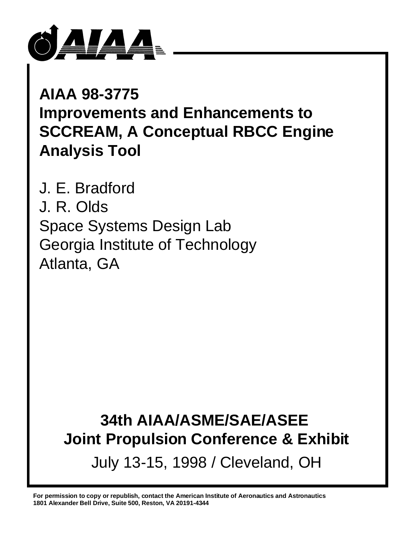

**AIAA 98-3775 Improvements and Enhancements to SCCREAM, A Conceptual RBCC Engine Analysis Tool**

J. E. Bradford J. R. Olds Space Systems Design Lab Georgia Institute of Technology Atlanta, GA

# **34th AIAA/ASME/SAE/ASEE Joint Propulsion Conference & Exhibit** July 13-15, 1998 / Cleveland, OH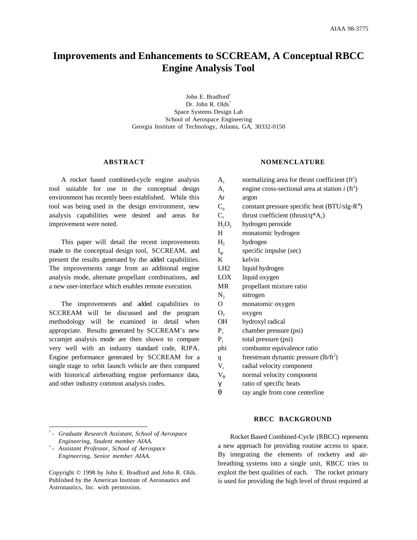# **Improvements and Enhancements to SCCREAM, A Conceptual RBCC Engine Analysis Tool**

John E. Bradford† Dr. John R. Olds\* Space Systems Design Lab School of Aerospace Engineering Georgia Institute of Technology, Atlanta, GA, 30332-0150

# **ABSTRACT**

A rocket based combined-cycle engine analysis tool suitable for use in the conceptual design environment has recently been established. While this tool was being used in the design environment, new analysis capabilities were desired and areas for improvement were noted.

This paper will detail the recent improvements made to the conceptual design tool, SCCREAM, and present the results generated by the added capabilities. The improvements range from an additional engine analysis mode, alternate propellant combinations, and a new user-interface which enables remote execution.

The improvements and added capabilities to SCCREAM will be discussed and the program methodology will be examined in detail when appropriate. Results generated by SCCREAM's new scramjet analysis mode are then shown to compare very well with an industry standard code, RJPA. Engine performance generated by SCCREAM for a single stage to orbit launch vehicle are then compared with historical airbreathing engine performance data, and other industry common analysis codes.

Copyright © 1998 by John E. Bradford and John R. Olds. Published by the American Institute of Aeronautics and Astronautics, Inc. with permission.

# **NOMENCLATURE**

| $A_c$           | normalizing area for thrust coefficient $(ft^2)$              |
|-----------------|---------------------------------------------------------------|
| $A_i$           | engine cross-sectional area at station $i$ (ft <sup>2</sup> ) |
| Ar              | argon                                                         |
| $C_{p}$         | constant pressure specific heat (BTU/slg-R°)                  |
| $C_{t}$         | thrust coefficient (thrust/q $A_c$ )                          |
| $H_2O_2$        | hydrogen peroxide                                             |
| H               | monatomic hydrogen                                            |
| $H_2$           | hydrogen                                                      |
| $I_{sp}$        | specific impulse (sec)                                        |
| K               | kelvin                                                        |
| LH <sub>2</sub> | liquid hydrogen                                               |
| LOX             | liquid oxygen                                                 |
| MR              | propellant mixture ratio                                      |
| $\rm N_2$       | nitrogen                                                      |
| O               | monatomic oxygen                                              |
| O <sub>2</sub>  | oxygen                                                        |
| OН              | hydroxyl radical                                              |
| $P_c$           | chamber pressure (psi)                                        |
| $P_t$           | total pressure (psi)                                          |
| phi             | combustor equivalence ratio                                   |
| q               | freestream dynamic pressure $(lb/ft^2)$                       |
| $V_r$           | radial velocity component                                     |
| $V_{\theta}$    | normal velocity component                                     |
| $\gamma$        | ratio of specific heats                                       |
| $\sim$          |                                                               |

θ ray angle from cone centerline

#### **RBCC BACKGROUND**

Rocket Based Combined-Cycle (RBCC) represents a new approach for providing routine access to space. By integrating the elements of rocketry and airbreathing systems into a single unit, RBCC tries to exploit the best qualities of each. The rocket primary is used for providing the high level of thrust required at

*<sup>†</sup> - Graduate Research Assistant, School of Aerospace Engineering, Student member AIAA.*

*<sup>\*</sup> - Assistant Professor, School of Aerospace Engineering, Senior member AIAA.*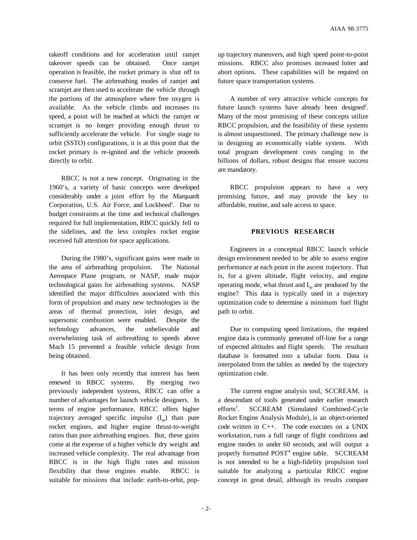takeoff conditions and for acceleration until ramjet takeover speeds can be obtained. Once ramjet operation is feasible, the rocket primary is shut off to conserve fuel. The airbreathing modes of ramjet and scramjet are then used to accelerate the vehicle through the portions of the atmosphere where free oxygen is available. As the vehicle climbs and increases its speed, a point will be reached at which the ramjet or scramjet is no longer providing enough thrust to sufficiently accelerate the vehicle. For single stage to orbit (SSTO) configurations, it is at this point that the rocket primary is re-ignited and the vehicle proceeds directly to orbit.

RBCC is not a new concept. Originating in the 1960's, a variety of basic concepts were developed considerably under a joint effort by the Marquardt Corporation, U.S. Air Force, and Lockheed<sup>1</sup>. Due to budget constraints at the time and technical challenges required for full implementation, RBCC quickly fell to the sidelines, and the less complex rocket engine received full attention for space applications.

During the 1980's, significant gains were made in the area of airbreathing propulsion. The National Aerospace Plane program, or NASP, made major technological gains for airbreathing systems. NASP identified the major difficulties associated with this form of propulsion and many new technologies in the areas of thermal protection, inlet design, and supersonic combustion were enabled. Despite the technology advances, the unbelievable and overwhelming task of airbreathing to speeds above Mach 15 prevented a feasible vehicle design from being obtained.

It has been only recently that interest has been renewed in RBCC systems. By merging two previously independent systems, RBCC can offer a number of advantages for launch vehicle designers. In terms of engine performance, RBCC offers higher trajectory averaged specific impulse  $(I_{\rm sn})$  than pure rocket engines, and higher engine thrust-to-weight ratios than pure airbreathing engines. But, these gains come at the expense of a higher vehicle dry weight and increased vehicle complexity. The real advantage from RBCC is in the high flight rates and mission flexibility that these engines enable. RBCC is suitable for missions that include: earth-to-orbit, popup trajectory maneuvers, and high speed point-to-point missions. RBCC also promises increased loiter and abort options. These capabilities will be required on future space transportation systems.

A number of very attractive vehicle concepts for future launch systems have already been designed<sup>2</sup>. Many of the most promising of these concepts utilize RBCC propulsion, and the feasibility of these systems is almost unquestioned. The primary challenge now is in designing an economically viable system. With total program development costs ranging in the billions of dollars, robust designs that ensure success are mandatory.

RBCC propulsion appears to have a very promising future, and may provide the key to affordable, routine, and safe access to space.

# **PREVIOUS RESEARCH**

Engineers in a conceptual RBCC launch vehicle design environment needed to be able to assess engine performance at each point in the ascent trajectory. That is, for a given altitude, flight velocity, and engine operating mode, what thrust and  $I_{\text{sp}}$  are produced by the engine? This data is typically used in a trajectory optimization code to determine a minimum fuel flight path to orbit.

Due to computing speed limitations, the required engine data is commonly generated off-line for a range of expected altitudes and flight speeds. The resultant database is formatted into a tabular form. Data is interpolated from the tables as needed by the trajectory optimization code.

The current engine analysis tool, SCCREAM, is a descendant of tools generated under earlier research efforts<sup>3</sup>. . SCCREAM (Simulated Combined-Cycle Rocket Engine Analysis Module), is an object-oriented code written in C++. The code executes on a UNIX workstation, runs a full range of flight conditions and engine modes in under 60 seconds, and will output a properly formatted POST<sup>4</sup> engine table. SCCREAM is not intended to be a high-fidelity propulsion tool suitable for analyzing a particular RBCC engine concept in great detail, although its results compare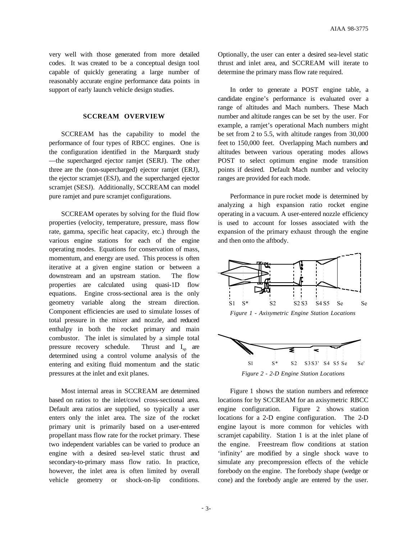very well with those generated from more detailed codes. It was created to be a conceptual design tool capable of quickly generating a large number of reasonably accurate engine performance data points in support of early launch vehicle design studies.

# **SCCREAM OVERVIEW**

SCCREAM has the capability to model the performance of four types of RBCC engines. One is the configuration identified in the Marquardt study —the supercharged ejector ramjet (SERJ). The other three are the (non-supercharged) ejector ramjet (ERJ), the ejector scramjet (ESJ), and the supercharged ejector scramjet (SESJ). Additionally, SCCREAM can model pure ramjet and pure scramjet configurations.

SCCREAM operates by solving for the fluid flow properties (velocity, temperature, pressure, mass flow rate, gamma, specific heat capacity, etc.) through the various engine stations for each of the engine operating modes. Equations for conservation of mass, momentum, and energy are used. This process is often iterative at a given engine station or between a downstream and an upstream station. The flow properties are calculated using quasi-1D flow equations. Engine cross-sectional area is the only geometry variable along the stream direction. Component efficiencies are used to simulate losses of total pressure in the mixer and nozzle, and reduced enthalpy in both the rocket primary and main combustor. The inlet is simulated by a simple total pressure recovery schedule. Thrust and  $I_{\rm sn}$  are determined using a control volume analysis of the entering and exiting fluid momentum and the static pressures at the inlet and exit planes.

Most internal areas in SCCREAM are determined based on ratios to the inlet/cowl cross-sectional area. Default area ratios are supplied, so typically a user enters only the inlet area. The size of the rocket primary unit is primarily based on a user-entered propellant mass flow rate for the rocket primary. These two independent variables can be varied to produce an engine with a desired sea-level static thrust and secondary-to-primary mass flow ratio. In practice, however, the inlet area is often limited by overall vehicle geometry or shock-on-lip conditions. Optionally, the user can enter a desired sea-level static thrust and inlet area, and SCCREAM will iterate to determine the primary mass flow rate required.

In order to generate a POST engine table, a candidate engine's performance is evaluated over a range of altitudes and Mach numbers. These Mach number and altitude ranges can be set by the user. For example, a ramjet's operational Mach numbers might be set from 2 to 5.5, with altitude ranges from 30,000 feet to 150,000 feet. Overlapping Mach numbers and altitudes between various operating modes allows POST to select optimum engine mode transition points if desired. Default Mach number and velocity ranges are provided for each mode.

Performance in pure rocket mode is determined by analyzing a high expansion ratio rocket engine operating in a vacuum. A user-entered nozzle efficiency is used to account for losses associated with the expansion of the primary exhaust through the engine and then onto the aftbody.



*Figure 1 - Axisymetric Engine Station Locations*



*Figure 2 - 2-D Engine Station Locations*

Figure 1 shows the station numbers and reference locations for by SCCREAM for an axisymetric RBCC engine configuration. Figure 2 shows station locations for a 2-D engine configuration. The 2-D engine layout is more common for vehicles with scramjet capability. Station 1 is at the inlet plane of the engine. Freestream flow conditions at station 'infinity' are modified by a single shock wave to simulate any precompression effects of the vehicle forebody on the engine. The forebody shape (wedge or cone) and the forebody angle are entered by the user.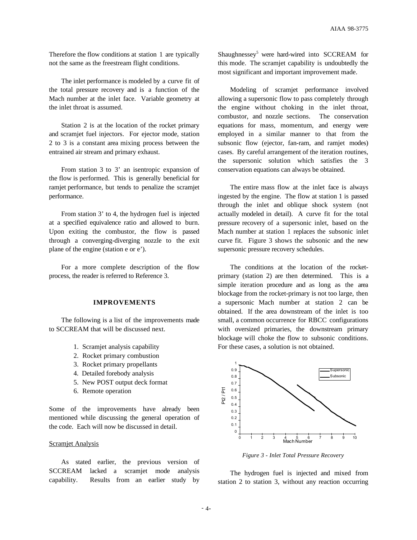Therefore the flow conditions at station 1 are typically not the same as the freestream flight conditions.

The inlet performance is modeled by a curve fit of the total pressure recovery and is a function of the Mach number at the inlet face. Variable geometry at the inlet throat is assumed.

Station 2 is at the location of the rocket primary and scramjet fuel injectors. For ejector mode, station 2 to 3 is a constant area mixing process between the entrained air stream and primary exhaust.

From station 3 to 3' an isentropic expansion of the flow is performed. This is generally beneficial for ramjet performance, but tends to penalize the scramjet performance.

From station 3' to 4, the hydrogen fuel is injected at a specified equivalence ratio and allowed to burn. Upon exiting the combustor, the flow is passed through a converging-diverging nozzle to the exit plane of the engine (station e or e').

For a more complete description of the flow process, the reader is referred to Reference 3.

#### **IMPROVEMENTS**

The following is a list of the improvements made to SCCREAM that will be discussed next.

- 1. Scramjet analysis capability
- 2. Rocket primary combustion
- 3. Rocket primary propellants
- 4. Detailed forebody analysis
- 5. New POST output deck format
- 6. Remote operation

Some of the improvements have already been mentioned while discussing the general operation of the code. Each will now be discussed in detail.

# Scramjet Analysis

As stated earlier, the previous version of SCCREAM lacked a scramjet mode analysis capability. Results from an earlier study by

Shaughnessey<sup>5</sup> were hard-wired into SCCREAM for this mode. The scramjet capability is undoubtedly the most significant and important improvement made.

Modeling of scramjet performance involved allowing a supersonic flow to pass completely through the engine without choking in the inlet throat, combustor, and nozzle sections. The conservation equations for mass, momentum, and energy were employed in a similar manner to that from the subsonic flow (ejector, fan-ram, and ramjet modes) cases. By careful arrangement of the iteration routines, the supersonic solution which satisfies the 3 conservation equations can always be obtained.

The entire mass flow at the inlet face is always ingested by the engine. The flow at station 1 is passed through the inlet and oblique shock system (not actually modeled in detail). A curve fit for the total pressure recovery of a supersonic inlet, based on the Mach number at station 1 replaces the subsonic inlet curve fit. Figure 3 shows the subsonic and the new supersonic pressure recovery schedules.

The conditions at the location of the rocketprimary (station 2) are then determined. This is a simple iteration procedure and as long as the area blockage from the rocket-primary is not too large, then a supersonic Mach number at station 2 can be obtained. If the area downstream of the inlet is too small, a common occurrence for RBCC configurations with oversized primaries, the downstream primary blockage will choke the flow to subsonic conditions. For these cases, a solution is not obtained.



*Figure 3 - Inlet Total Pressure Recovery*

The hydrogen fuel is injected and mixed from station 2 to station 3, without any reaction occurring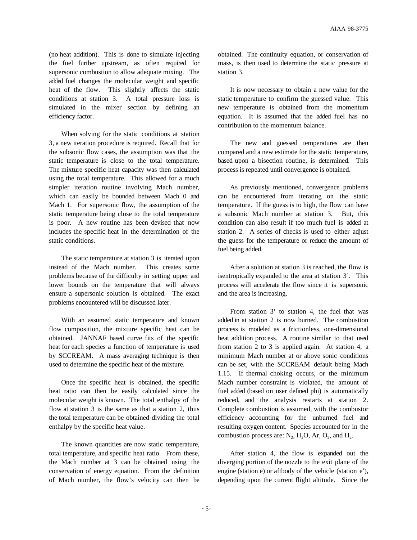(no heat addition). This is done to simulate injecting the fuel further upstream, as often required for supersonic combustion to allow adequate mixing. The added fuel changes the molecular weight and specific heat of the flow. This slightly affects the static conditions at station 3. A total pressure loss is simulated in the mixer section by defining an efficiency factor.

When solving for the static conditions at station 3, a new iteration procedure is required. Recall that for the subsonic flow cases, the assumption was that the static temperature is close to the total temperature. The mixture specific heat capacity was then calculated using the total temperature. This allowed for a much simpler iteration routine involving Mach number, which can easily be bounded between Mach 0 and Mach 1. For supersonic flow, the assumption of the static temperature being close to the total temperature is poor. A new routine has been devised that now includes the specific heat in the determination of the static conditions.

The static temperature at station 3 is iterated upon instead of the Mach number. This creates some problems because of the difficulty in setting upper and lower bounds on the temperature that will always ensure a supersonic solution is obtained. The exact problems encountered will be discussed later.

With an assumed static temperature and known flow composition, the mixture specific heat can be obtained. JANNAF based curve fits of the specific heat for each species a function of temperature is used by SCCREAM. A mass averaging technique is then used to determine the specific heat of the mixture.

Once the specific heat is obtained, the specific heat ratio can then be easily calculated since the molecular weight is known. The total enthalpy of the flow at station 3 is the same as that a station 2, thus the total temperature can be obtained dividing the total enthalpy by the specific heat value.

The known quantities are now static temperature, total temperature, and specific heat ratio. From these, the Mach number at 3 can be obtained using the conservation of energy equation. From the definition of Mach number, the flow's velocity can then be obtained. The continuity equation, or conservation of mass, is then used to determine the static pressure at station 3.

It is now necessary to obtain a new value for the static temperature to confirm the guessed value. This new temperature is obtained from the momentum equation. It is assumed that the added fuel has no contribution to the momentum balance.

The new and guessed temperatures are then compared and a new estimate for the static temperature, based upon a bisection routine, is determined. This process is repeated until convergence is obtained.

As previously mentioned, convergence problems can be encountered from iterating on the static temperature. If the guess is to high, the flow can have a subsonic Mach number at station 3. But, this condition can also result if too much fuel is added at station 2. A series of checks is used to either adjust the guess for the temperature or reduce the amount of fuel being added.

After a solution at station 3 is reached, the flow is isentropically expanded to the area at station 3'. This process will accelerate the flow since it is supersonic and the area is increasing.

From station 3' to station 4, the fuel that was added in at station 2 is now burned. The combustion process is modeled as a frictionless, one-dimensional heat addition process. A routine similar to that used from station 2 to 3 is applied again. At station 4, a minimum Mach number at or above sonic conditions can be set, with the SCCREAM default being Mach 1.15. If thermal choking occurs, or the minimum Mach number constraint is violated, the amount of fuel added (based on user defined phi) is automatically reduced, and the analysis restarts at station 2. Complete combustion is assumed, with the combustor efficiency accounting for the unburned fuel and resulting oxygen content. Species accounted for in the combustion process are:  $N_2$ ,  $H_2O$ ,  $Ar$ ,  $O_2$ , and  $H_2$ .

After station 4, the flow is expanded out the diverging portion of the nozzle to the exit plane of the engine (station e) or aftbody of the vehicle (station e'), depending upon the current flight altitude. Since the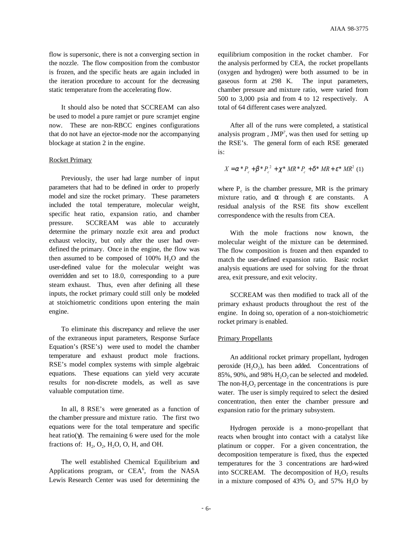flow is supersonic, there is not a converging section in the nozzle. The flow composition from the combustor is frozen, and the specific heats are again included in the iteration procedure to account for the decreasing static temperature from the accelerating flow.

It should also be noted that SCCREAM can also be used to model a pure ramjet or pure scramjet engine now. These are non-RBCC engines configurations that do not have an ejector-mode nor the accompanying blockage at station 2 in the engine.

# Rocket Primary

Previously, the user had large number of input parameters that had to be defined in order to properly model and size the rocket primary. These parameters included the total temperature, molecular weight, specific heat ratio, expansion ratio, and chamber pressure. SCCREAM was able to accurately determine the primary nozzle exit area and product exhaust velocity, but only after the user had overdefined the primary. Once in the engine, the flow was then assumed to be composed of  $100\%$   $H<sub>2</sub>O$  and the user-defined value for the molecular weight was overridden and set to 18.0, corresponding to a pure steam exhaust. Thus, even after defining all these inputs, the rocket primary could still only be modeled at stoichiometric conditions upon entering the main engine.

To eliminate this discrepancy and relieve the user of the extraneous input parameters, Response Surface Equation's (RSE's) were used to model the chamber temperature and exhaust product mole fractions. RSE's model complex systems with simple algebraic equations. These equations can yield very accurate results for non-discrete models, as well as save valuable computation time.

In all, 8 RSE's were generated as a function of the chamber pressure and mixture ratio. The first two equations were for the total temperature and specific heat ratio(γ). The remaining 6 were used for the mole fractions of:  $H_2$ ,  $O_2$ ,  $H_2O$ ,  $O$ ,  $H$ , and  $OH$ .

The well established Chemical Equilibrium and Applications program, or  $CEA<sup>6</sup>$ , from the NASA Lewis Research Center was used for determining the

equilibrium composition in the rocket chamber. For the analysis performed by CEA, the rocket propellants (oxygen and hydrogen) were both assumed to be in gaseous form at 298 K. The input parameters, chamber pressure and mixture ratio, were varied from 500 to 3,000 psia and from 4 to 12 respectively. A total of 64 different cases were analyzed.

After all of the runs were completed, a statistical analysis program,  $JMP<sup>7</sup>$ , was then used for setting up the RSE's. The general form of each RSE generated is:

$$
X = \alpha \cdot P_c + \beta \cdot P_c^2 + \chi \cdot MR \cdot P_c + \delta \cdot MR + \varepsilon \cdot MR^2 \tag{1}
$$

where  $P_c$  is the chamber pressure, MR is the primary mixture ratio, and  $\alpha$  through  $\varepsilon$  are constants. A residual analysis of the RSE fits show excellent correspondence with the results from CEA.

With the mole fractions now known, the molecular weight of the mixture can be determined. The flow composition is frozen and then expanded to match the user-defined expansion ratio. Basic rocket analysis equations are used for solving for the throat area, exit pressure, and exit velocity.

SCCREAM was then modified to track all of the primary exhaust products throughout the rest of the engine. In doing so, operation of a non-stoichiometric rocket primary is enabled.

# **Primary Propellants**

An additional rocket primary propellant, hydrogen peroxide  $(H<sub>2</sub>O<sub>2</sub>)$ , has been added. Concentrations of 85%, 90%, and 98%  $H_2O_2$  can be selected and modeled. The non- $H_2O_2$  percentage in the concentrations is pure water. The user is simply required to select the desired concentration, then enter the chamber pressure and expansion ratio for the primary subsystem.

Hydrogen peroxide is a mono-propellant that reacts when brought into contact with a catalyst like platinum or copper. For a given concentration, the decomposition temperature is fixed, thus the expected temperatures for the 3 concentrations are hard-wired into SCCREAM. The decomposition of  $H_2O_2$  results in a mixture composed of 43%  $O_2$  and 57%  $H_2O$  by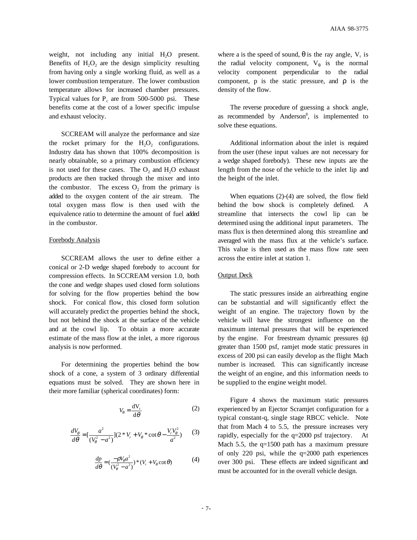weight, not including any initial  $H_2O$  present. Benefits of  $H_2O_2$  are the design simplicity resulting from having only a single working fluid, as well as a lower combustion temperature. The lower combustion temperature allows for increased chamber pressures. Typical values for  $P_c$  are from 500-5000 psi. These benefits come at the cost of a lower specific impulse and exhaust velocity.

SCCREAM will analyze the performance and size the rocket primary for the  $H_2O_2$  configurations. Industry data has shown that 100% decomposition is nearly obtainable, so a primary combustion efficiency is not used for these cases. The  $O_2$  and  $H_2O$  exhaust products are then tracked through the mixer and into the combustor. The excess  $O<sub>2</sub>$  from the primary is added to the oxygen content of the air stream. The total oxygen mass flow is then used with the equivalence ratio to determine the amount of fuel added in the combustor.

# Forebody Analysis

SCCREAM allows the user to define either a conical or 2-D wedge shaped forebody to account for compression effects. In SCCREAM version 1.0, both the cone and wedge shapes used closed form solutions for solving for the flow properties behind the bow shock. For conical flow, this closed form solution will accurately predict the properties behind the shock, but not behind the shock at the surface of the vehicle and at the cowl lip. To obtain a more accurate estimate of the mass flow at the inlet, a more rigorous analysis is now performed.

For determining the properties behind the bow shock of a cone, a system of 3 ordinary differential equations must be solved. They are shown here in their more familiar (spherical coordinates) form:

$$
V_{\theta} = \frac{\mathrm{d}V_{\mathrm{r}}}{\mathrm{d}\theta} \tag{2}
$$

$$
\frac{dV_{\theta}}{d\theta} = \left[\frac{a^2}{(V_{\theta}^2 - a^2)}\right] (2 \ast V_r + V_{\theta} \ast \cot \theta - \frac{V_r V_{\theta}^2}{a^2})
$$
 (3)

$$
\frac{dp}{d\theta} = \left(\frac{-\rho V_{\theta}a^2}{\left(V_{\theta}^2 - a^2\right)}\right)^* \left(V_r + V_{\theta}\cot\theta\right) \tag{4}
$$

where a is the speed of sound,  $\theta$  is the ray angle,  $V_r$  is the radial velocity component,  $V_{\theta}$  is the normal velocity component perpendicular to the radial component, p is the static pressure, and ρ is the density of the flow.

The reverse procedure of guessing a shock angle, as recommended by Anderson<sup>8</sup>, is implemented to solve these equations.

Additional information about the inlet is required from the user (these input values are not necessary for a wedge shaped forebody). These new inputs are the length from the nose of the vehicle to the inlet lip and the height of the inlet.

When equations (2)-(4) are solved, the flow field behind the bow shock is completely defined. A streamline that intersects the cowl lip can be determined using the additional input parameters. The mass flux is then determined along this streamline and averaged with the mass flux at the vehicle's surface. This value is then used as the mass flow rate seen across the entire inlet at station 1.

# **Output Deck**

The static pressures inside an airbreathing engine can be substantial and will significantly effect the weight of an engine. The trajectory flown by the vehicle will have the strongest influence on the maximum internal pressures that will be experienced by the engine. For freestream dynamic pressures (q) greater than 1500 psf, ramjet mode static pressures in excess of 200 psi can easily develop as the flight Mach number is increased. This can significantly increase the weight of an engine, and this information needs to be supplied to the engine weight model.

Figure 4 shows the maximum static pressures experienced by an Ejector Scramjet configuration for a typical constant-q, single stage RBCC vehicle. Note that from Mach 4 to 5.5, the pressure increases very rapidly, especially for the q=2000 psf trajectory. At Mach 5.5, the  $q=1500$  path has a maximum pressure of only 220 psi, while the q=2000 path experiences over 300 psi. These effects are indeed significant and must be accounted for in the overall vehicle design.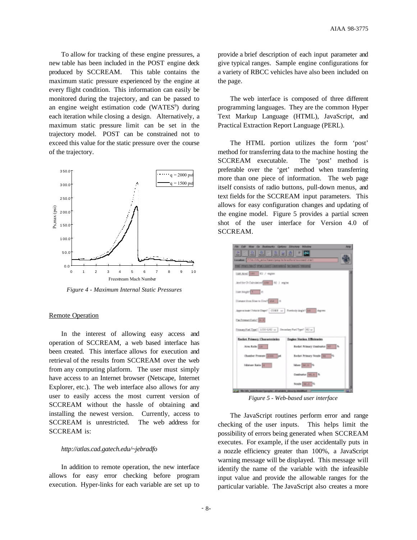To allow for tracking of these engine pressures, a new table has been included in the POST engine deck produced by SCCREAM. This table contains the maximum static pressure experienced by the engine at every flight condition. This information can easily be monitored during the trajectory, and can be passed to an engine weight estimation code (WATES<sup>9</sup>) during each iteration while closing a design. Alternatively, a maximum static pressure limit can be set in the trajectory model. POST can be constrained not to exceed this value for the static pressure over the course of the trajectory.



*Figure 4 - Maximum Internal Static Pressures*

# Remote Operation

In the interest of allowing easy access and operation of SCCREAM, a web based interface has been created. This interface allows for execution and retrieval of the results from SCCREAM over the web from any computing platform. The user must simply have access to an Internet browser (Netscape, Internet Explorer, etc.). The web interface also allows for any user to easily access the most current version of SCCREAM without the hassle of obtaining and installing the newest version. Currently, access to SCCREAM is unrestricted. The web address for SCCREAM is:

# *http://atlas.cad.gatech.edu/~jebradfo*

In addition to remote operation, the new interface allows for easy error checking before program execution. Hyper-links for each variable are set up to

provide a brief description of each input parameter and give typical ranges. Sample engine configurations for a variety of RBCC vehicles have also been included on the page.

The web interface is composed of three different programming languages. They are the common Hyper Text Markup Language (HTML), JavaScript, and Practical Extraction Report Language (PERL).

The HTML portion utilizes the form 'post' method for transferring data to the machine hosting the SCCREAM executable. The 'post' method is preferable over the 'get' method when transferring more than one piece of information. The web page itself consists of radio buttons, pull-down menus, and text fields for the SCCREAM input parameters. This allows for easy configuration changes and updating of the engine model. Figure 5 provides a partial screen shot of the user interface for Version 4.0 of SCCREAM.



*Figure 5 - Web-based user interface*

The JavaScript routines perform error and range checking of the user inputs. This helps limit the possibility of errors being generated when SCCREAM executes. For example, if the user accidentally puts in a nozzle efficiency greater than 100%, a JavaScript warning message will be displayed. This message will identify the name of the variable with the infeasible input value and provide the allowable ranges for the particular variable. The JavaScript also creates a more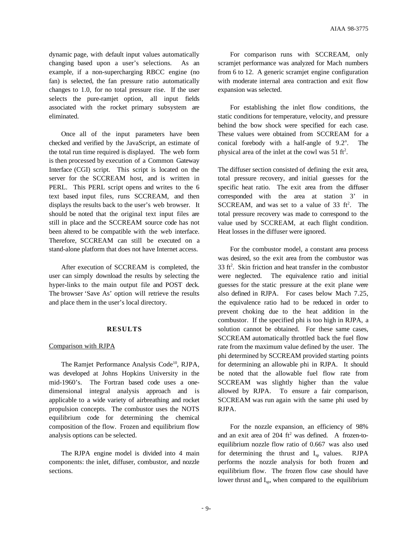dynamic page, with default input values automatically changing based upon a user's selections. As an example, if a non-supercharging RBCC engine (no fan) is selected, the fan pressure ratio automatically changes to 1.0, for no total pressure rise. If the user selects the pure-ramjet option, all input fields associated with the rocket primary subsystem are eliminated.

Once all of the input parameters have been checked and verified by the JavaScript, an estimate of the total run time required is displayed. The web form is then processed by execution of a Common Gateway Interface (CGI) script. This script is located on the server for the SCCREAM host, and is written in PERL. This PERL script opens and writes to the 6 text based input files, runs SCCREAM, and then displays the results back to the user's web browser. It should be noted that the original text input files are still in place and the SCCREAM source code has not been altered to be compatible with the web interface. Therefore, SCCREAM can still be executed on a stand-alone platform that does not have Internet access.

After execution of SCCREAM is completed, the user can simply download the results by selecting the hyper-links to the main output file and POST deck. The browser 'Save As' option will retrieve the results and place them in the user's local directory.

# **RESULTS**

#### Comparison with RJPA

The Ramjet Performance Analysis Code<sup>10</sup>, RJPA, was developed at Johns Hopkins University in the mid-1960's. The Fortran based code uses a onedimensional integral analysis approach and is applicable to a wide variety of airbreathing and rocket propulsion concepts. The combustor uses the NOTS equilibrium code for determining the chemical composition of the flow. Frozen and equilibrium flow analysis options can be selected.

The RJPA engine model is divided into 4 main components: the inlet, diffuser, combustor, and nozzle sections.

For comparison runs with SCCREAM, only scramjet performance was analyzed for Mach numbers from 6 to 12. A generic scramjet engine configuration with moderate internal area contraction and exit flow expansion was selected.

For establishing the inlet flow conditions, the static conditions for temperature, velocity, and pressure behind the bow shock were specified for each case. These values were obtained from SCCREAM for a conical forebody with a half-angle of  $9.2^{\circ}$ . . The physical area of the inlet at the cowl was  $51 \text{ ft}^2$ .

The diffuser section consisted of defining the exit area, total pressure recovery, and initial guesses for the specific heat ratio. The exit area from the diffuser corresponded with the area at station 3' in SCCREAM, and was set to a value of  $33 \text{ ft}^2$ . The total pressure recovery was made to correspond to the value used by SCCREAM, at each flight condition. Heat losses in the diffuser were ignored.

For the combustor model, a constant area process was desired, so the exit area from the combustor was 33 ft<sup>2</sup>. Skin friction and heat transfer in the combustor were neglected. The equivalence ratio and initial guesses for the static pressure at the exit plane were also defined in RJPA. For cases below Mach 7.25, the equivalence ratio had to be reduced in order to prevent choking due to the heat addition in the combustor. If the specified phi is too high in RJPA, a solution cannot be obtained. For these same cases, SCCREAM automatically throttled back the fuel flow rate from the maximum value defined by the user. The phi determined by SCCREAM provided starting points for determining an allowable phi in RJPA. It should be noted that the allowable fuel flow rate from SCCREAM was slightly higher than the value allowed by RJPA. To ensure a fair comparison, SCCREAM was run again with the same phi used by RJPA.

For the nozzle expansion, an efficiency of 98% and an exit area of  $204 \text{ ft}^2$  was defined. A frozen-toequilibrium nozzle flow ratio of 0.667 was also used for determining the thrust and  $I_{\rm sn}$  values. RJPA performs the nozzle analysis for both frozen and equilibrium flow. The frozen flow case should have lower thrust and  $I_{\rm SD}$ , when compared to the equilibrium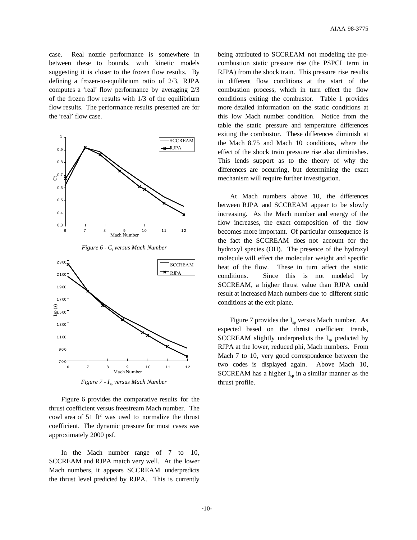case. Real nozzle performance is somewhere in between these to bounds, with kinetic models suggesting it is closer to the frozen flow results. By defining a frozen-to-equilibrium ratio of 2/3, RJPA computes a 'real' flow performance by averaging 2/3 of the frozen flow results with 1/3 of the equilibrium flow results. The performance results presented are for the 'real' flow case.



Figure 6 provides the comparative results for the thrust coefficient versus freestream Mach number. The cowl area of  $51 \text{ ft}^2$  was used to normalize the thrust coefficient. The dynamic pressure for most cases was approximately 2000 psf.

In the Mach number range of 7 to 10, SCCREAM and RJPA match very well. At the lower Mach numbers, it appears SCCREAM underpredicts the thrust level predicted by RJPA. This is currently being attributed to SCCREAM not modeling the precombustion static pressure rise (the PSPCI term in RJPA) from the shock train. This pressure rise results in different flow conditions at the start of the combustion process, which in turn effect the flow conditions exiting the combustor. Table 1 provides more detailed information on the static conditions at this low Mach number condition. Notice from the table the static pressure and temperature differences exiting the combustor. These differences diminish at the Mach 8.75 and Mach 10 conditions, where the effect of the shock train pressure rise also diminishes. This lends support as to the theory of why the differences are occurring, but determining the exact mechanism will require further investigation.

At Mach numbers above 10, the differences between RJPA and SCCREAM appear to be slowly increasing. As the Mach number and energy of the flow increases, the exact composition of the flow becomes more important. Of particular consequence is the fact the SCCREAM does not account for the hydroxyl species (OH). The presence of the hydroxyl molecule will effect the molecular weight and specific heat of the flow. These in turn affect the static conditions. Since this is not modeled by SCCREAM, a higher thrust value than RJPA could result at increased Mach numbers due to different static conditions at the exit plane.

Figure 7 provides the  $I_{sp}$  versus Mach number. As expected based on the thrust coefficient trends, SCCREAM slightly underpredicts the  $I_{sp}$  predicted by RJPA at the lower, reduced phi, Mach numbers. From Mach 7 to 10, very good correspondence between the two codes is displayed again. Above Mach 10, SCCREAM has a higher  $I_{sp}$  in a similar manner as the thrust profile.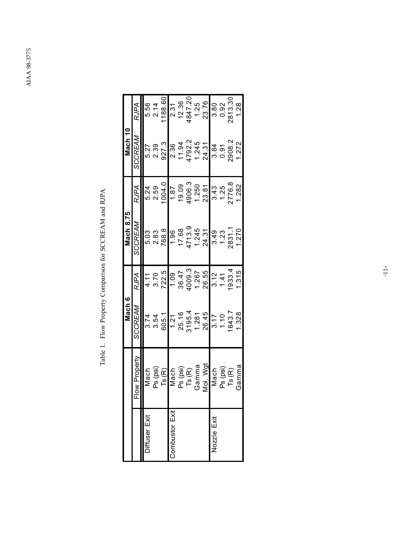| $\frac{1}{2}$ |  |
|---------------|--|
|               |  |
|               |  |
|               |  |
| i             |  |
| こうしんてい        |  |
|               |  |
|               |  |
| .<br>.<br>.   |  |
| i             |  |
|               |  |
|               |  |
|               |  |
|               |  |
| ľ             |  |
|               |  |
| ı             |  |
|               |  |
|               |  |
|               |  |
| ļ             |  |
| i             |  |
| ļ             |  |
| l             |  |
|               |  |
| l             |  |
| ı             |  |
|               |  |
|               |  |
|               |  |
|               |  |
|               |  |
|               |  |

|                |                           |         |        | Table 1. Flow Property Comparison for SCCREAM and RJPA |        |         |                |
|----------------|---------------------------|---------|--------|--------------------------------------------------------|--------|---------|----------------|
|                |                           | Mach 6  |        | Mach 8.75                                              |        | Mach 10 |                |
|                | Flow Property             | SCCREAM | RJPA   | SCCREAM                                                | RJPA   | SCCREAM | RJPA           |
| Diffuser Exit  | Mach                      | 3.74    | 4.11   | 5.03                                                   | 5.24   | 5.27    | 5.56           |
|                | Ps (psi)                  | 3.54    | 3.70   | 2.83                                                   | 2.59   | 2.39    | 2.14           |
|                | Ts(R)                     | 605.1   | 722.5  | 768.8                                                  | 0.400  | 927.3   | 188.60         |
| Combustor Exit | Mach                      | 1.21    | 1.09   | 1.96                                                   | 1.87   | 2.36    | 2.31           |
|                | Ps (psi)                  | 25.16   | 36.47  | 17.68                                                  | 19.09  | 11.94   | 12.36          |
|                | $\mathsf{Ts}(\mathsf{R})$ | 3195.4  | 4009.3 | 4713.9                                                 | 4906.3 | 4792.2  | 4847.20        |
|                | Gamma                     | 1.281   | 1.267  | 1.245                                                  | 1.250  | 1.245   | 1.25           |
|                | Vlol. Wgt                 | 26.45   | 26.55  | 24.31                                                  | 23.81  | 24.31   | 23.76          |
| Nozzle Exit    | Mach                      | 3.17    | 3.12   | 3.49                                                   | 3.43   | 3.84    | 3.80           |
|                | Ps (psi)                  | 1.10    | 1.41   | 1.23                                                   | 1.25   | 0.91    | 0.92           |
|                | Ts(R)                     | 1643.7  | 1933.4 | 2831                                                   | 2776.8 | 2908.2  | 2813.30        |
|                | Gamma                     | l.328   | 1.315  | 1.270                                                  | 1.282  | 1.272   | $\frac{28}{1}$ |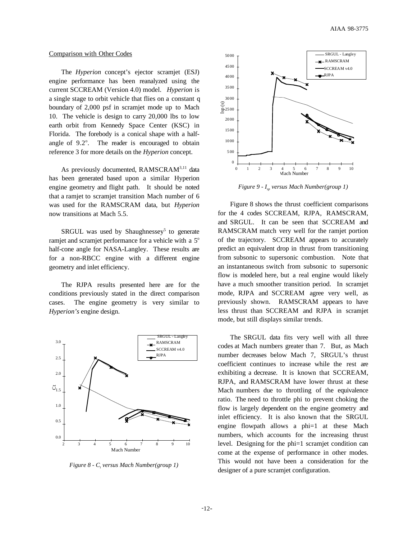# Comparison with Other Codes

The *Hyperion* concept's ejector scramjet (ESJ) engine performance has been reanalyzed using the current SCCREAM (Version 4.0) model. *Hyperion* is a single stage to orbit vehicle that flies on a constant q boundary of 2,000 psf in scramjet mode up to Mach 10. The vehicle is design to carry 20,000 lbs to low earth orbit from Kennedy Space Center (KSC) in Florida. The forebody is a conical shape with a halfangle of  $9.2^{\circ}$ . The reader is encouraged to obtain reference 3 for more details on the *Hyperion* concept.

As previously documented, RAMSCRAM<sup>3,11</sup> data has been generated based upon a similar Hyperion engine geometry and flight path. It should be noted that a ramjet to scramjet transition Mach number of 6 was used for the RAMSCRAM data, but *Hyperion* now transitions at Mach 5.5.

 $SRGUL$  was used by Shaughnessey<sup>5</sup> to generate ramjet and scramjet performance for a vehicle with a 5° half-cone angle for NASA-Langley. These results are for a non-RBCC engine with a different engine geometry and inlet efficiency.

The RJPA results presented here are for the conditions previously stated in the direct comparison cases. The engine geometry is very similar to *Hyperion's* engine design.



*Figure 8 - Ct versus Mach Number(group 1)*



*Figure 9 - I<sub>sp</sub> versus Mach Number(group 1)* 

Figure 8 shows the thrust coefficient comparisons for the 4 codes SCCREAM, RJPA, RAMSCRAM, and SRGUL. It can be seen that SCCREAM and RAMSCRAM match very well for the ramjet portion of the trajectory. SCCREAM appears to accurately predict an equivalent drop in thrust from transitioning from subsonic to supersonic combustion. Note that an instantaneous switch from subsonic to supersonic flow is modeled here, but a real engine would likely have a much smoother transition period. In scramjet mode, RJPA and SCCREAM agree very well, as previously shown. RAMSCRAM appears to have less thrust than SCCREAM and RJPA in scramjet mode, but still displays similar trends.

The SRGUL data fits very well with all three codes at Mach numbers greater than 7. But, as Mach number decreases below Mach 7, SRGUL's thrust coefficient continues to increase while the rest are exhibiting a decrease. It is known that SCCREAM, RJPA, and RAMSCRAM have lower thrust at these Mach numbers due to throttling of the equivalence ratio. The need to throttle phi to prevent choking the flow is largely dependent on the engine geometry and inlet efficiency. It is also known that the SRGUL engine flowpath allows a phi=1 at these Mach numbers, which accounts for the increasing thrust level. Designing for the phi=1 scramjet condition can come at the expense of performance in other modes. This would not have been a consideration for the designer of a pure scramjet configuration.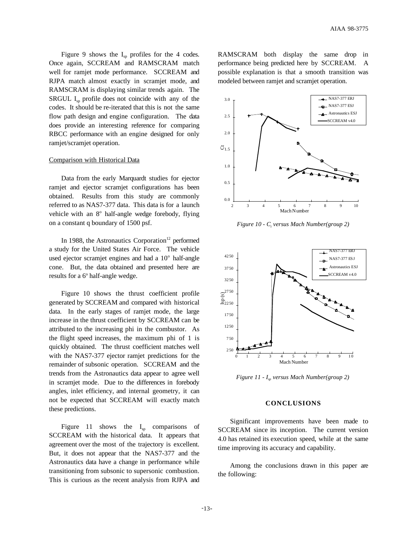Figure 9 shows the  $I_{sp}$  profiles for the 4 codes. Once again, SCCREAM and RAMSCRAM match well for ramjet mode performance. SCCREAM and RJPA match almost exactly in scramjet mode, and RAMSCRAM is displaying similar trends again. The SRGUL  $I_{sn}$  profile does not coincide with any of the codes. It should be re-iterated that this is not the same flow path design and engine configuration. The data does provide an interesting reference for comparing RBCC performance with an engine designed for only ramjet/scramjet operation.

## Comparison with Historical Data

Data from the early Marquardt studies for ejector ramjet and ejector scramjet configurations has been obtained. Results from this study are commonly referred to as NAS7-377 data. This data is for a launch vehicle with an 8° half-angle wedge forebody, flying on a constant q boundary of 1500 psf.

In 1988, the Astronautics Corporation<sup>12</sup> performed a study for the United States Air Force. The vehicle used ejector scramjet engines and had a 10° half-angle cone. But, the data obtained and presented here are results for a 6<sup>°</sup> half-angle wedge.

Figure 10 shows the thrust coefficient profile generated by SCCREAM and compared with historical data. In the early stages of ramjet mode, the large increase in the thrust coefficient by SCCREAM can be attributed to the increasing phi in the combustor. As the flight speed increases, the maximum phi of 1 is quickly obtained. The thrust coefficient matches well with the NAS7-377 ejector ramjet predictions for the remainder of subsonic operation. SCCREAM and the trends from the Astronautics data appear to agree well in scramjet mode. Due to the differences in forebody angles, inlet efficiency, and internal geometry, it can not be expected that SCCREAM will exactly match these predictions.

Figure 11 shows the  $I_{sp}$  comparisons of SCCREAM with the historical data. It appears that agreement over the most of the trajectory is excellent. But, it does not appear that the NAS7-377 and the Astronautics data have a change in performance while transitioning from subsonic to supersonic combustion. This is curious as the recent analysis from RJPA and

RAMSCRAM both display the same drop in performance being predicted here by SCCREAM. A possible explanation is that a smooth transition was modeled between ramjet and scramjet operation.



*Figure 10 - Ct versus Mach Number(group 2)*



*Figure 11 - I<sub>sp</sub> versus Mach Number(group 2)* 

#### **CONCLUSIONS**

Significant improvements have been made to SCCREAM since its inception. The current version 4.0 has retained its execution speed, while at the same time improving its accuracy and capability.

Among the conclusions drawn in this paper are the following: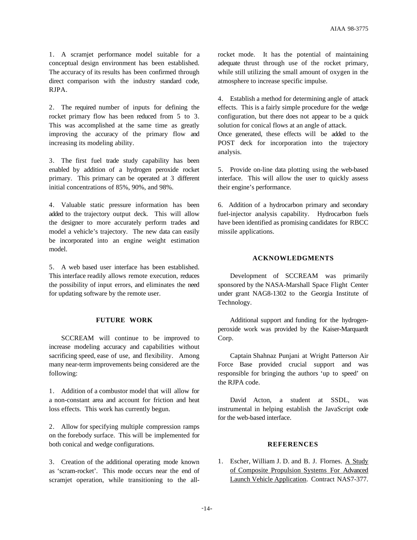1. A scramjet performance model suitable for a conceptual design environment has been established. The accuracy of its results has been confirmed through direct comparison with the industry standard code, RJPA.

2. The required number of inputs for defining the rocket primary flow has been reduced from 5 to 3. This was accomplished at the same time as greatly improving the accuracy of the primary flow and increasing its modeling ability.

3. The first fuel trade study capability has been enabled by addition of a hydrogen peroxide rocket primary. This primary can be operated at 3 different initial concentrations of 85%, 90%, and 98%.

4. Valuable static pressure information has been added to the trajectory output deck. This will allow the designer to more accurately perform trades and model a vehicle's trajectory. The new data can easily be incorporated into an engine weight estimation model.

5. A web based user interface has been established. This interface readily allows remote execution, reduces the possibility of input errors, and eliminates the need for updating software by the remote user.

# **FUTURE WORK**

SCCREAM will continue to be improved to increase modeling accuracy and capabilities without sacrificing speed, ease of use, and flexibility. Among many near-term improvements being considered are the following:

1. Addition of a combustor model that will allow for a non-constant area and account for friction and heat loss effects. This work has currently begun.

2. Allow for specifying multiple compression ramps on the forebody surface. This will be implemented for both conical and wedge configurations.

3. Creation of the additional operating mode known as 'scram-rocket'. This mode occurs near the end of scramjet operation, while transitioning to the allrocket mode. It has the potential of maintaining adequate thrust through use of the rocket primary, while still utilizing the small amount of oxygen in the atmosphere to increase specific impulse.

4. Establish a method for determining angle of attack effects. This is a fairly simple procedure for the wedge configuration, but there does not appear to be a quick solution for conical flows at an angle of attack.

Once generated, these effects will be added to the POST deck for incorporation into the trajectory analysis.

5. Provide on-line data plotting using the web-based interface. This will allow the user to quickly assess their engine's performance.

6. Addition of a hydrocarbon primary and secondary fuel-injector analysis capability. Hydrocarbon fuels have been identified as promising candidates for RBCC missile applications.

# **ACKNOWLEDGMENTS**

Development of SCCREAM was primarily sponsored by the NASA-Marshall Space Flight Center under grant NAG8-1302 to the Georgia Institute of Technology.

Additional support and funding for the hydrogenperoxide work was provided by the Kaiser-Marquardt Corp.

Captain Shahnaz Punjani at Wright Patterson Air Force Base provided crucial support and was responsible for bringing the authors 'up to speed' on the RJPA code.

David Acton, a student at SSDL, was instrumental in helping establish the JavaScript code for the web-based interface.

# **REFERENCES**

1. Escher, William J. D. and B. J. Flornes. A Study of Composite Propulsion Systems For Advanced Launch Vehicle Application. Contract NAS7-377.